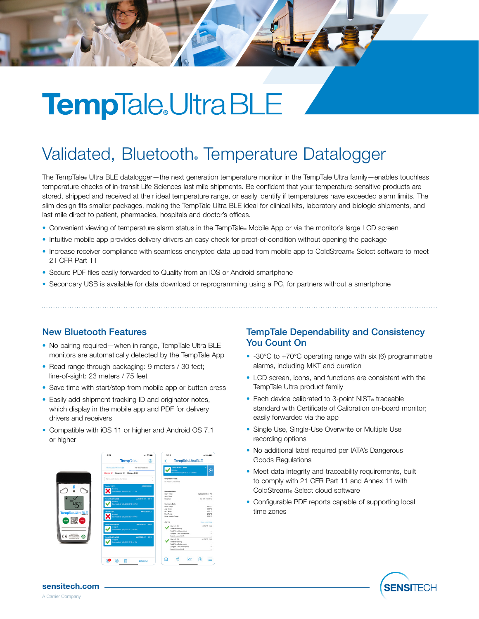# **TempTale** Ultra BLE

### Validated, Bluetooth. Temperature Datalogger

The TempTale® Ultra BLE datalogger—the next generation temperature monitor in the TempTale Ultra family—enables touchless temperature checks of in-transit Life Sciences last mile shipments. Be confident that your temperature-sensitive products are stored, shipped and received at their ideal temperature range, or easily identify if temperatures have exceeded alarm limits. The slim design fits smaller packages, making the TempTale Ultra BLE ideal for clinical kits, laboratory and biologic shipments, and last mile direct to patient, pharmacies, hospitals and doctor's offices.

- Convenient viewing of temperature alarm status in the TempTale® Mobile App or via the monitor's large LCD screen
- Intuitive mobile app provides delivery drivers an easy check for proof-of-condition without opening the package
- Increase receiver compliance with seamless encrypted data upload from mobile app to ColdStream® Select software to meet 21 CFR Part 11
- Secure PDF files easily forwarded to Quality from an iOS or Android smartphone
- Secondary USB is available for data download or reprogramming using a PC, for partners without a smartphone

#### New Bluetooth Features

- No pairing required—when in range, TempTale Ultra BLE monitors are automatically detected by the TempTale App
- Read range through packaging: 9 meters / 30 feet; line-of-sight: 23 meters / 75 feet
- Save time with start/stop from mobile app or button press
- Easily add shipment tracking ID and originator notes, which display in the mobile app and PDF for delivery drivers and receivers
- Compatible with iOS 11 or higher and Android OS 7.1 or higher



#### TempTale Dependability and Consistency You Count On

- -30°C to +70°C operating range with six (6) programmable alarms, including MKT and duration
- LCD screen, icons, and functions are consistent with the TempTale Ultra product family
- Each device calibrated to 3-point NIST® traceable standard with Certificate of Calibration on-board monitor; easily forwarded via the app
- Single Use, Single-Use Overwrite or Multiple Use recording options
- No additional label required per IATA's Dangerous Goods Regulations
- Meet data integrity and traceability requirements, built to comply with 21 CFR Part 11 and Annex 11 with ColdStream® Select cloud software
- Configurable PDF reports capable of supporting local time zones



sensitech.com A Carrier Company